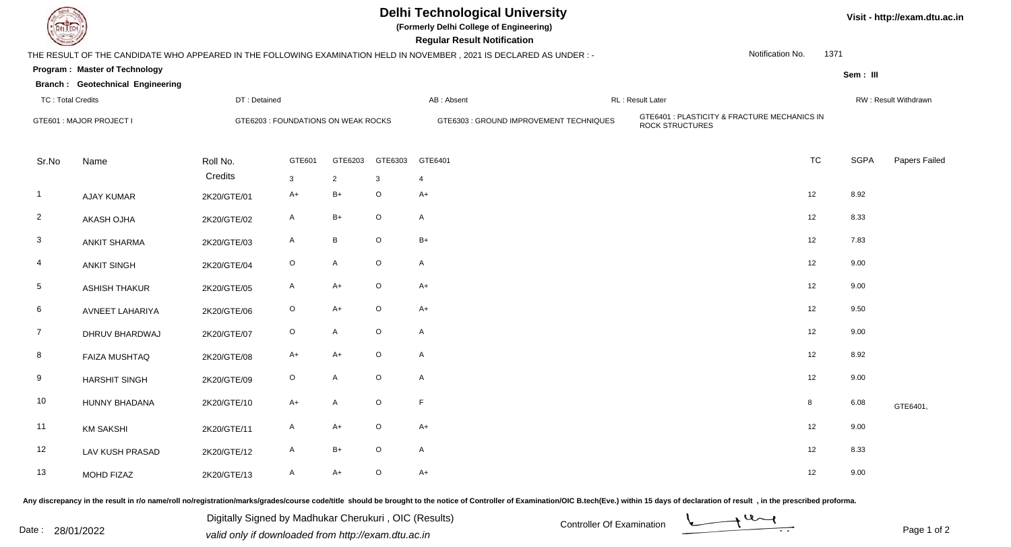|                          |                                         | <b>Delhi Technological University</b><br>(Formerly Delhi College of Engineering)<br><b>Regular Result Notification</b> |              |                 |             |                                                                                                                      |                                                                        |                  |                      | Visit - http://exam.dtu.ac.in |  |  |
|--------------------------|-----------------------------------------|------------------------------------------------------------------------------------------------------------------------|--------------|-----------------|-------------|----------------------------------------------------------------------------------------------------------------------|------------------------------------------------------------------------|------------------|----------------------|-------------------------------|--|--|
|                          |                                         |                                                                                                                        |              |                 |             | THE RESULT OF THE CANDIDATE WHO APPEARED IN THE FOLLOWING EXAMINATION HELD IN NOVEMBER, 2021 IS DECLARED AS UNDER :- |                                                                        | Notification No. | 1371                 |                               |  |  |
|                          | <b>Program: Master of Technology</b>    |                                                                                                                        |              |                 |             |                                                                                                                      |                                                                        |                  | Sem: III             |                               |  |  |
|                          | <b>Branch: Geotechnical Engineering</b> |                                                                                                                        |              |                 |             |                                                                                                                      | RL : Result Later                                                      |                  |                      |                               |  |  |
| <b>TC: Total Credits</b> |                                         | DT: Detained                                                                                                           |              |                 |             | AB: Absent                                                                                                           |                                                                        |                  | RW: Result Withdrawn |                               |  |  |
| GTE601 : MAJOR PROJECT I |                                         | GTE6203 : FOUNDATIONS ON WEAK ROCKS                                                                                    |              |                 |             | GTE6303 : GROUND IMPROVEMENT TECHNIQUES                                                                              | GTE6401 : PLASTICITY & FRACTURE MECHANICS IN<br><b>ROCK STRUCTURES</b> |                  |                      |                               |  |  |
| Sr.No                    | Name                                    | Roll No.                                                                                                               | GTE601       | GTE6203         | GTE6303     | GTE6401                                                                                                              |                                                                        | <b>TC</b>        | <b>SGPA</b>          | Papers Failed                 |  |  |
|                          |                                         | Credits                                                                                                                | $\mathbf{3}$ | $\overline{2}$  | 3           | $\overline{4}$                                                                                                       |                                                                        |                  |                      |                               |  |  |
| -1                       | <b>AJAY KUMAR</b>                       | 2K20/GTE/01                                                                                                            | $A+$         | $B+$            | $\circ$     | $A+$                                                                                                                 |                                                                        | 12               | 8.92                 |                               |  |  |
| $\overline{2}$           | AKASH OJHA                              | 2K20/GTE/02                                                                                                            | A            | $B+$            | $\circ$     | A                                                                                                                    |                                                                        | 12               | 8.33                 |                               |  |  |
| $\mathbf{3}$             | <b>ANKIT SHARMA</b>                     | 2K20/GTE/03                                                                                                            | $\mathsf{A}$ | $\, {\bf B} \,$ | $\circ$     | $B+$                                                                                                                 |                                                                        | 12               | 7.83                 |                               |  |  |
| 4                        | <b>ANKIT SINGH</b>                      | 2K20/GTE/04                                                                                                            | $\circ$      | $\mathsf{A}$    | $\mathsf O$ | A                                                                                                                    |                                                                        | 12               | 9.00                 |                               |  |  |
| $5\phantom{.0}$          | <b>ASHISH THAKUR</b>                    | 2K20/GTE/05                                                                                                            | $\mathsf{A}$ | $A+$            | $\circ$     | $A+$                                                                                                                 |                                                                        | 12               | 9.00                 |                               |  |  |
| 6                        | AVNEET LAHARIYA                         | 2K20/GTE/06                                                                                                            | $\circ$      | $A+$            | $\circ$     | $A+$                                                                                                                 |                                                                        | 12               | 9.50                 |                               |  |  |
| $\overline{7}$           | DHRUV BHARDWAJ                          | 2K20/GTE/07                                                                                                            | $\circ$      | $\mathsf{A}$    | $\circ$     | A                                                                                                                    |                                                                        | 12               | 9.00                 |                               |  |  |
| 8                        | <b>FAIZA MUSHTAQ</b>                    | 2K20/GTE/08                                                                                                            | $A+$         | $A+$            | $\circ$     | A                                                                                                                    |                                                                        | 12               | 8.92                 |                               |  |  |
| 9                        | <b>HARSHIT SINGH</b>                    | 2K20/GTE/09                                                                                                            | $\circ$      | $\mathsf{A}$    | $\circ$     | A                                                                                                                    |                                                                        | 12               | 9.00                 |                               |  |  |
| 10                       | HUNNY BHADANA                           | 2K20/GTE/10                                                                                                            | $A+$         | $\mathsf{A}$    | $\mathsf O$ | F                                                                                                                    |                                                                        | 8                | 6.08                 | GTE6401,                      |  |  |
| 11                       | <b>KM SAKSHI</b>                        | 2K20/GTE/11                                                                                                            | $\mathsf{A}$ | $A+$            | $\circ$     | $A+$                                                                                                                 |                                                                        | 12               | 9.00                 |                               |  |  |
| $12$                     | LAV KUSH PRASAD                         | 2K20/GTE/12                                                                                                            | A            | $B+$            | $\circ$     | A                                                                                                                    |                                                                        | 12               | 8.33                 |                               |  |  |
| 13                       | MOHD FIZAZ                              | 2K20/GTE/13                                                                                                            | A            | $A+$            | $\circ$     | $A+$                                                                                                                 |                                                                        | 12               | 9.00                 |                               |  |  |

Any discrepancy in the result in r/o name/roll no/registration/marks/grades/course code/title should be brought to the notice of Controller of Examination/OIC B.tech(Eve.) within 15 days of declaration of result ,in the p

Digitally Signed by Madhukar Cherukuri, OIC (Results)<br>Date : 28/01/2022 valid only if downloaded from http://exam.dtu.ac.in Digitally Signed by Madhukar Cherukuri , OIC (Results)valid only if downloaded from http://exam.dtu.ac.in